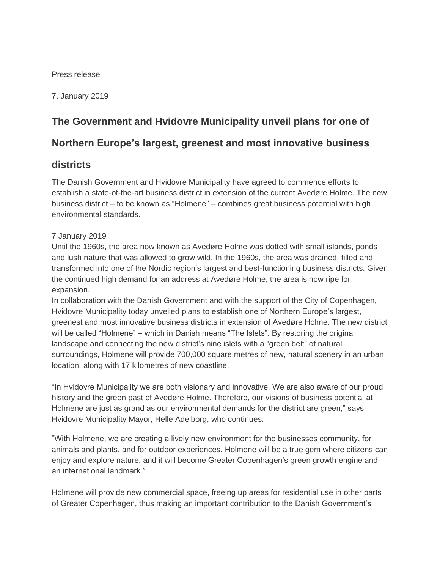#### Press release

7. January 2019

# **The Government and Hvidovre Municipality unveil plans for one of**

# **Northern Europe's largest, greenest and most innovative business**

## **districts**

The Danish Government and Hvidovre Municipality have agreed to commence efforts to establish a state-of-the-art business district in extension of the current Avedøre Holme. The new business district – to be known as "Holmene" – combines great business potential with high environmental standards.

### 7 January 2019

Until the 1960s, the area now known as Avedøre Holme was dotted with small islands, ponds and lush nature that was allowed to grow wild. In the 1960s, the area was drained, filled and transformed into one of the Nordic region's largest and best-functioning business districts. Given the continued high demand for an address at Avedøre Holme, the area is now ripe for expansion.

In collaboration with the Danish Government and with the support of the City of Copenhagen, Hvidovre Municipality today unveiled plans to establish one of Northern Europe's largest, greenest and most innovative business districts in extension of Avedøre Holme. The new district will be called "Holmene" – which in Danish means "The Islets". By restoring the original landscape and connecting the new district's nine islets with a "green belt" of natural surroundings, Holmene will provide 700,000 square metres of new, natural scenery in an urban location, along with 17 kilometres of new coastline.

"In Hvidovre Municipality we are both visionary and innovative. We are also aware of our proud history and the green past of Avedøre Holme. Therefore, our visions of business potential at Holmene are just as grand as our environmental demands for the district are green," says Hvidovre Municipality Mayor, Helle Adelborg, who continues:

"With Holmene, we are creating a lively new environment for the businesses community, for animals and plants, and for outdoor experiences. Holmene will be a true gem where citizens can enjoy and explore nature, and it will become Greater Copenhagen's green growth engine and an international landmark."

Holmene will provide new commercial space, freeing up areas for residential use in other parts of Greater Copenhagen, thus making an important contribution to the Danish Government's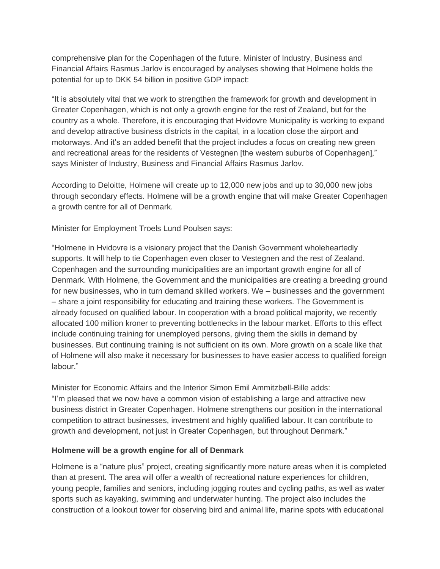comprehensive plan for the Copenhagen of the future. Minister of Industry, Business and Financial Affairs Rasmus Jarlov is encouraged by analyses showing that Holmene holds the potential for up to DKK 54 billion in positive GDP impact:

"It is absolutely vital that we work to strengthen the framework for growth and development in Greater Copenhagen, which is not only a growth engine for the rest of Zealand, but for the country as a whole. Therefore, it is encouraging that Hvidovre Municipality is working to expand and develop attractive business districts in the capital, in a location close the airport and motorways. And it's an added benefit that the project includes a focus on creating new green and recreational areas for the residents of Vestegnen [the western suburbs of Copenhagen]," says Minister of Industry, Business and Financial Affairs Rasmus Jarlov.

According to Deloitte, Holmene will create up to 12,000 new jobs and up to 30,000 new jobs through secondary effects. Holmene will be a growth engine that will make Greater Copenhagen a growth centre for all of Denmark.

Minister for Employment Troels Lund Poulsen says:

"Holmene in Hvidovre is a visionary project that the Danish Government wholeheartedly supports. It will help to tie Copenhagen even closer to Vestegnen and the rest of Zealand. Copenhagen and the surrounding municipalities are an important growth engine for all of Denmark. With Holmene, the Government and the municipalities are creating a breeding ground for new businesses, who in turn demand skilled workers. We – businesses and the government – share a joint responsibility for educating and training these workers. The Government is already focused on qualified labour. In cooperation with a broad political majority, we recently allocated 100 million kroner to preventing bottlenecks in the labour market. Efforts to this effect include continuing training for unemployed persons, giving them the skills in demand by businesses. But continuing training is not sufficient on its own. More growth on a scale like that of Holmene will also make it necessary for businesses to have easier access to qualified foreign labour."

Minister for Economic Affairs and the Interior Simon Emil Ammitzbøll-Bille adds: "I'm pleased that we now have a common vision of establishing a large and attractive new business district in Greater Copenhagen. Holmene strengthens our position in the international competition to attract businesses, investment and highly qualified labour. It can contribute to growth and development, not just in Greater Copenhagen, but throughout Denmark."

#### **Holmene will be a growth engine for all of Denmark**

Holmene is a "nature plus" project, creating significantly more nature areas when it is completed than at present. The area will offer a wealth of recreational nature experiences for children, young people, families and seniors, including jogging routes and cycling paths, as well as water sports such as kayaking, swimming and underwater hunting. The project also includes the construction of a lookout tower for observing bird and animal life, marine spots with educational